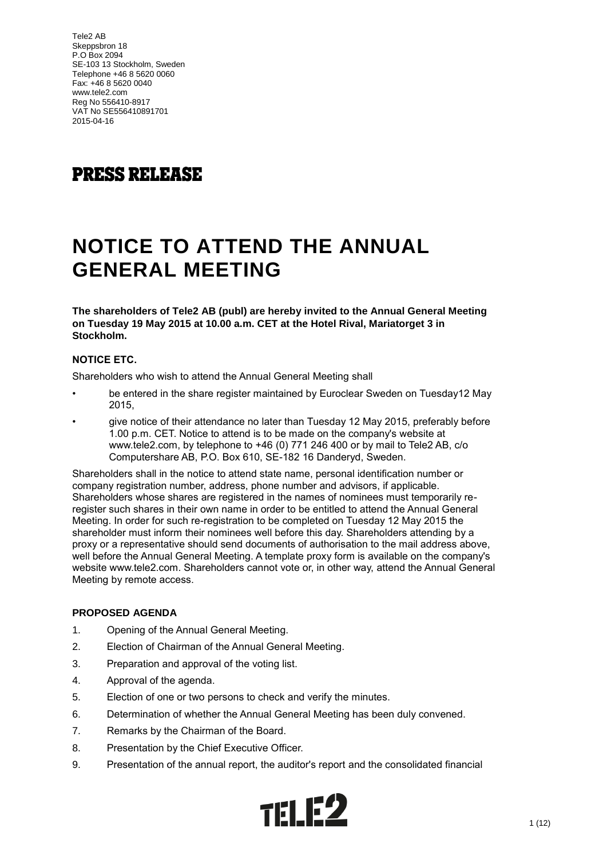## **PRESS RELEASE**

# **NOTICE TO ATTEND THE ANNUAL GENERAL MEETING**

**The shareholders of Tele2 AB (publ) are hereby invited to the Annual General Meeting on Tuesday 19 May 2015 at 10.00 a.m. CET at the Hotel Rival, Mariatorget 3 in Stockholm.**

## **NOTICE ETC.**

Shareholders who wish to attend the Annual General Meeting shall

- be entered in the share register maintained by Euroclear Sweden on Tuesday12 May 2015,
- give notice of their attendance no later than Tuesday 12 May 2015, preferably before 1.00 p.m. CET. Notice to attend is to be made on the company's website at www.tele2.com, by telephone to +46 (0) 771 246 400 or by mail to Tele2 AB, c/o Computershare AB, P.O. Box 610, SE-182 16 Danderyd, Sweden.

Shareholders shall in the notice to attend state name, personal identification number or company registration number, address, phone number and advisors, if applicable. Shareholders whose shares are registered in the names of nominees must temporarily reregister such shares in their own name in order to be entitled to attend the Annual General Meeting. In order for such re-registration to be completed on Tuesday 12 May 2015 the shareholder must inform their nominees well before this day. Shareholders attending by a proxy or a representative should send documents of authorisation to the mail address above, well before the Annual General Meeting. A template proxy form is available on the company's website www.tele2.com. Shareholders cannot vote or, in other way, attend the Annual General Meeting by remote access.

## **PROPOSED AGENDA**

- 1. Opening of the Annual General Meeting.
- 2. Election of Chairman of the Annual General Meeting.
- 3. Preparation and approval of the voting list.
- 4. Approval of the agenda.
- 5. Election of one or two persons to check and verify the minutes.
- 6. Determination of whether the Annual General Meeting has been duly convened.
- 7. Remarks by the Chairman of the Board.
- 8. Presentation by the Chief Executive Officer.
- 9. Presentation of the annual report, the auditor's report and the consolidated financial

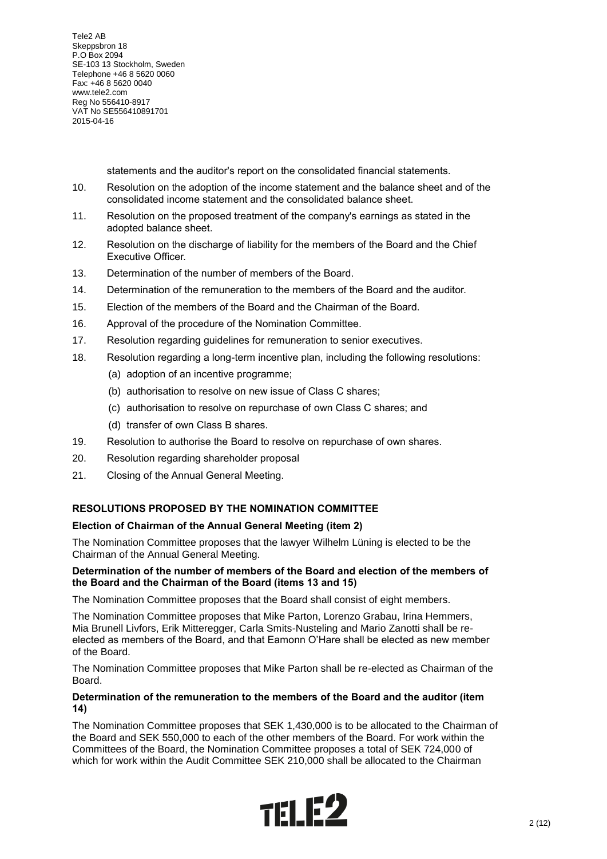statements and the auditor's report on the consolidated financial statements.

- 10. Resolution on the adoption of the income statement and the balance sheet and of the consolidated income statement and the consolidated balance sheet.
- 11. Resolution on the proposed treatment of the company's earnings as stated in the adopted balance sheet.
- 12. Resolution on the discharge of liability for the members of the Board and the Chief Executive Officer.
- 13. Determination of the number of members of the Board.
- 14. Determination of the remuneration to the members of the Board and the auditor.
- 15. Election of the members of the Board and the Chairman of the Board.
- 16. Approval of the procedure of the Nomination Committee.
- 17. Resolution regarding guidelines for remuneration to senior executives.
- 18. Resolution regarding a long-term incentive plan, including the following resolutions:
	- (a) adoption of an incentive programme;
	- (b) authorisation to resolve on new issue of Class C shares;
	- (c) authorisation to resolve on repurchase of own Class C shares; and
	- (d) transfer of own Class B shares.
- 19. Resolution to authorise the Board to resolve on repurchase of own shares.
- 20. Resolution regarding shareholder proposal
- 21. Closing of the Annual General Meeting.

## **RESOLUTIONS PROPOSED BY THE NOMINATION COMMITTEE**

## **Election of Chairman of the Annual General Meeting (item 2)**

The Nomination Committee proposes that the lawyer Wilhelm Lüning is elected to be the Chairman of the Annual General Meeting.

## **Determination of the number of members of the Board and election of the members of the Board and the Chairman of the Board (items 13 and 15)**

The Nomination Committee proposes that the Board shall consist of eight members.

The Nomination Committee proposes that Mike Parton, Lorenzo Grabau, Irina Hemmers, Mia Brunell Livfors, Erik Mitteregger, Carla Smits-Nusteling and Mario Zanotti shall be reelected as members of the Board, and that Eamonn O'Hare shall be elected as new member of the Board.

The Nomination Committee proposes that Mike Parton shall be re-elected as Chairman of the **Board** 

## **Determination of the remuneration to the members of the Board and the auditor (item 14)**

The Nomination Committee proposes that SEK 1,430,000 is to be allocated to the Chairman of the Board and SEK 550,000 to each of the other members of the Board. For work within the Committees of the Board, the Nomination Committee proposes a total of SEK 724,000 of which for work within the Audit Committee SEK 210,000 shall be allocated to the Chairman

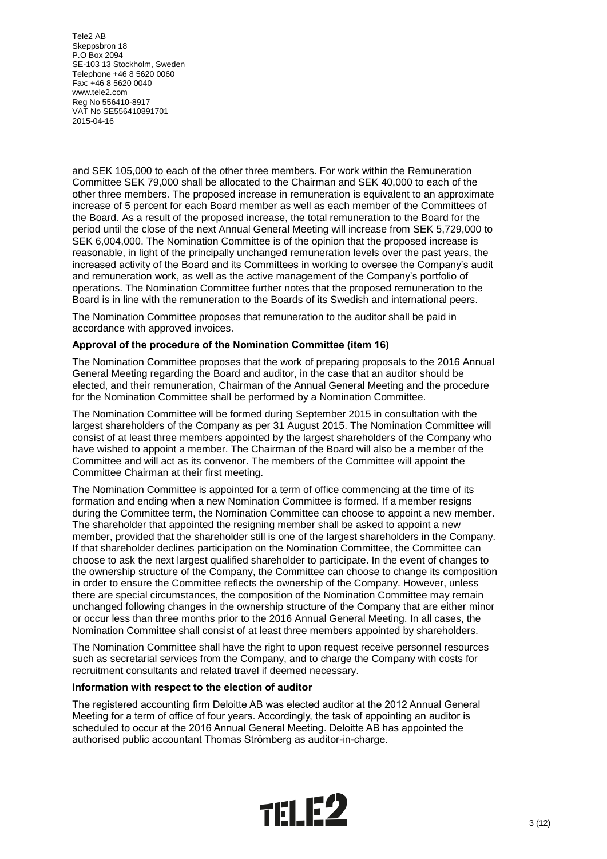and SEK 105,000 to each of the other three members. For work within the Remuneration Committee SEK 79,000 shall be allocated to the Chairman and SEK 40,000 to each of the other three members. The proposed increase in remuneration is equivalent to an approximate increase of 5 percent for each Board member as well as each member of the Committees of the Board. As a result of the proposed increase, the total remuneration to the Board for the period until the close of the next Annual General Meeting will increase from SEK 5,729,000 to SEK 6,004,000. The Nomination Committee is of the opinion that the proposed increase is reasonable, in light of the principally unchanged remuneration levels over the past years, the increased activity of the Board and its Committees in working to oversee the Company's audit and remuneration work, as well as the active management of the Company's portfolio of operations. The Nomination Committee further notes that the proposed remuneration to the Board is in line with the remuneration to the Boards of its Swedish and international peers.

The Nomination Committee proposes that remuneration to the auditor shall be paid in accordance with approved invoices.

## **Approval of the procedure of the Nomination Committee (item 16)**

The Nomination Committee proposes that the work of preparing proposals to the 2016 Annual General Meeting regarding the Board and auditor, in the case that an auditor should be elected, and their remuneration, Chairman of the Annual General Meeting and the procedure for the Nomination Committee shall be performed by a Nomination Committee.

The Nomination Committee will be formed during September 2015 in consultation with the largest shareholders of the Company as per 31 August 2015. The Nomination Committee will consist of at least three members appointed by the largest shareholders of the Company who have wished to appoint a member. The Chairman of the Board will also be a member of the Committee and will act as its convenor. The members of the Committee will appoint the Committee Chairman at their first meeting.

The Nomination Committee is appointed for a term of office commencing at the time of its formation and ending when a new Nomination Committee is formed. If a member resigns during the Committee term, the Nomination Committee can choose to appoint a new member. The shareholder that appointed the resigning member shall be asked to appoint a new member, provided that the shareholder still is one of the largest shareholders in the Company. If that shareholder declines participation on the Nomination Committee, the Committee can choose to ask the next largest qualified shareholder to participate. In the event of changes to the ownership structure of the Company, the Committee can choose to change its composition in order to ensure the Committee reflects the ownership of the Company. However, unless there are special circumstances, the composition of the Nomination Committee may remain unchanged following changes in the ownership structure of the Company that are either minor or occur less than three months prior to the 2016 Annual General Meeting. In all cases, the Nomination Committee shall consist of at least three members appointed by shareholders.

The Nomination Committee shall have the right to upon request receive personnel resources such as secretarial services from the Company, and to charge the Company with costs for recruitment consultants and related travel if deemed necessary.

#### **Information with respect to the election of auditor**

The registered accounting firm Deloitte AB was elected auditor at the 2012 Annual General Meeting for a term of office of four years. Accordingly, the task of appointing an auditor is scheduled to occur at the 2016 Annual General Meeting. Deloitte AB has appointed the authorised public accountant Thomas Strömberg as auditor-in-charge.

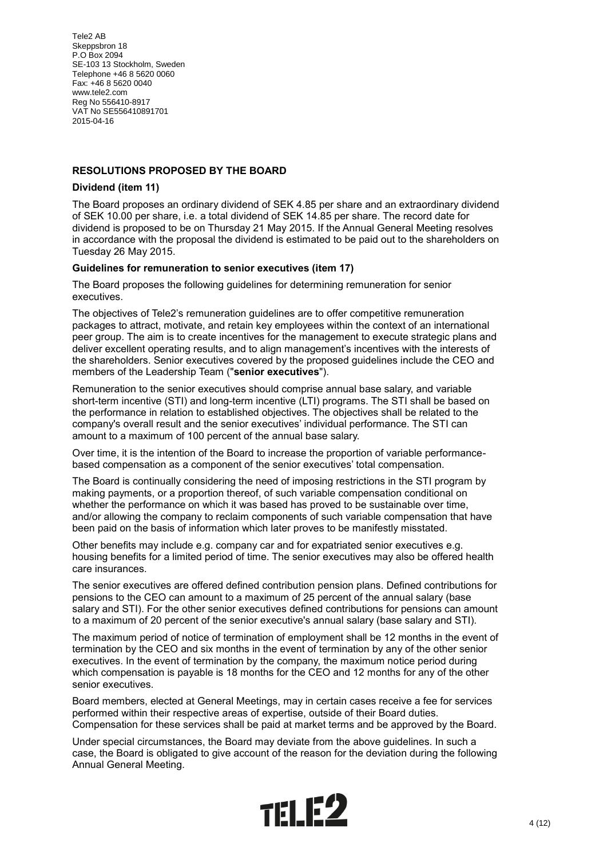## **RESOLUTIONS PROPOSED BY THE BOARD**

## **Dividend (item 11)**

The Board proposes an ordinary dividend of SEK 4.85 per share and an extraordinary dividend of SEK 10.00 per share, i.e. a total dividend of SEK 14.85 per share. The record date for dividend is proposed to be on Thursday 21 May 2015. If the Annual General Meeting resolves in accordance with the proposal the dividend is estimated to be paid out to the shareholders on Tuesday 26 May 2015.

## **Guidelines for remuneration to senior executives (item 17)**

The Board proposes the following guidelines for determining remuneration for senior executives.

The objectives of Tele2's remuneration guidelines are to offer competitive remuneration packages to attract, motivate, and retain key employees within the context of an international peer group. The aim is to create incentives for the management to execute strategic plans and deliver excellent operating results, and to align management's incentives with the interests of the shareholders. Senior executives covered by the proposed guidelines include the CEO and members of the Leadership Team ("**senior executives**").

Remuneration to the senior executives should comprise annual base salary, and variable short-term incentive (STI) and long-term incentive (LTI) programs. The STI shall be based on the performance in relation to established objectives. The objectives shall be related to the company's overall result and the senior executives' individual performance. The STI can amount to a maximum of 100 percent of the annual base salary.

Over time, it is the intention of the Board to increase the proportion of variable performancebased compensation as a component of the senior executives' total compensation.

The Board is continually considering the need of imposing restrictions in the STI program by making payments, or a proportion thereof, of such variable compensation conditional on whether the performance on which it was based has proved to be sustainable over time, and/or allowing the company to reclaim components of such variable compensation that have been paid on the basis of information which later proves to be manifestly misstated.

Other benefits may include e.g. company car and for expatriated senior executives e.g. housing benefits for a limited period of time. The senior executives may also be offered health care insurances.

The senior executives are offered defined contribution pension plans. Defined contributions for pensions to the CEO can amount to a maximum of 25 percent of the annual salary (base salary and STI). For the other senior executives defined contributions for pensions can amount to a maximum of 20 percent of the senior executive's annual salary (base salary and STI).

The maximum period of notice of termination of employment shall be 12 months in the event of termination by the CEO and six months in the event of termination by any of the other senior executives. In the event of termination by the company, the maximum notice period during which compensation is payable is 18 months for the CEO and 12 months for any of the other senior executives.

Board members, elected at General Meetings, may in certain cases receive a fee for services performed within their respective areas of expertise, outside of their Board duties. Compensation for these services shall be paid at market terms and be approved by the Board.

Under special circumstances, the Board may deviate from the above guidelines. In such a case, the Board is obligated to give account of the reason for the deviation during the following Annual General Meeting.

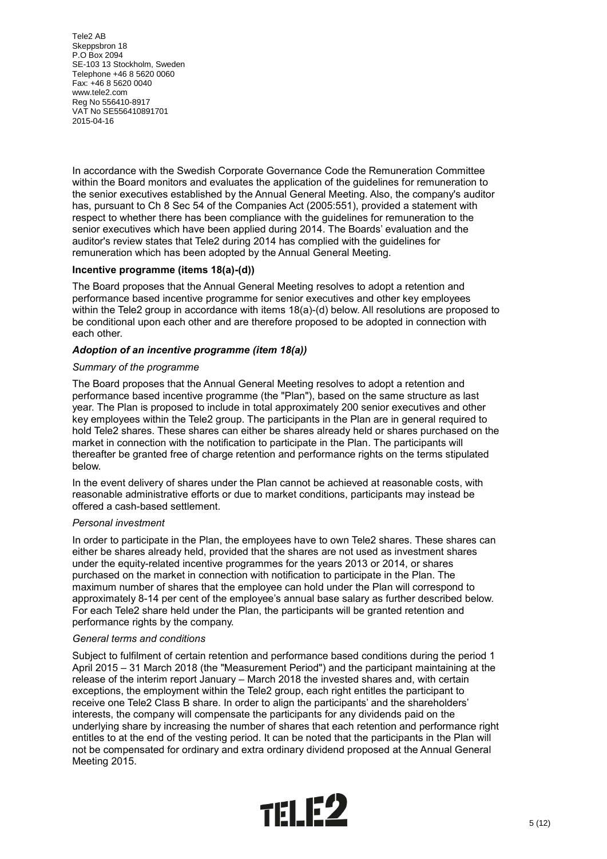In accordance with the Swedish Corporate Governance Code the Remuneration Committee within the Board monitors and evaluates the application of the guidelines for remuneration to the senior executives established by the Annual General Meeting. Also, the company's auditor has, pursuant to Ch 8 Sec 54 of the Companies Act (2005:551), provided a statement with respect to whether there has been compliance with the guidelines for remuneration to the senior executives which have been applied during 2014. The Boards' evaluation and the auditor's review states that Tele2 during 2014 has complied with the guidelines for remuneration which has been adopted by the Annual General Meeting.

## **Incentive programme (items 18(a)-(d))**

The Board proposes that the Annual General Meeting resolves to adopt a retention and performance based incentive programme for senior executives and other key employees within the Tele2 group in accordance with items 18(a)-(d) below. All resolutions are proposed to be conditional upon each other and are therefore proposed to be adopted in connection with each other.

## *Adoption of an incentive programme (item 18(a))*

#### *Summary of the programme*

The Board proposes that the Annual General Meeting resolves to adopt a retention and performance based incentive programme (the "Plan"), based on the same structure as last year. The Plan is proposed to include in total approximately 200 senior executives and other key employees within the Tele2 group. The participants in the Plan are in general required to hold Tele2 shares. These shares can either be shares already held or shares purchased on the market in connection with the notification to participate in the Plan. The participants will thereafter be granted free of charge retention and performance rights on the terms stipulated below.

In the event delivery of shares under the Plan cannot be achieved at reasonable costs, with reasonable administrative efforts or due to market conditions, participants may instead be offered a cash-based settlement.

#### *Personal investment*

In order to participate in the Plan, the employees have to own Tele2 shares. These shares can either be shares already held, provided that the shares are not used as investment shares under the equity-related incentive programmes for the years 2013 or 2014, or shares purchased on the market in connection with notification to participate in the Plan. The maximum number of shares that the employee can hold under the Plan will correspond to approximately 8-14 per cent of the employee's annual base salary as further described below. For each Tele2 share held under the Plan, the participants will be granted retention and performance rights by the company.

#### *General terms and conditions*

Subject to fulfilment of certain retention and performance based conditions during the period 1 April 2015 – 31 March 2018 (the "Measurement Period") and the participant maintaining at the release of the interim report January – March 2018 the invested shares and, with certain exceptions, the employment within the Tele2 group, each right entitles the participant to receive one Tele2 Class B share. In order to align the participants' and the shareholders' interests, the company will compensate the participants for any dividends paid on the underlying share by increasing the number of shares that each retention and performance right entitles to at the end of the vesting period. It can be noted that the participants in the Plan will not be compensated for ordinary and extra ordinary dividend proposed at the Annual General Meeting 2015.

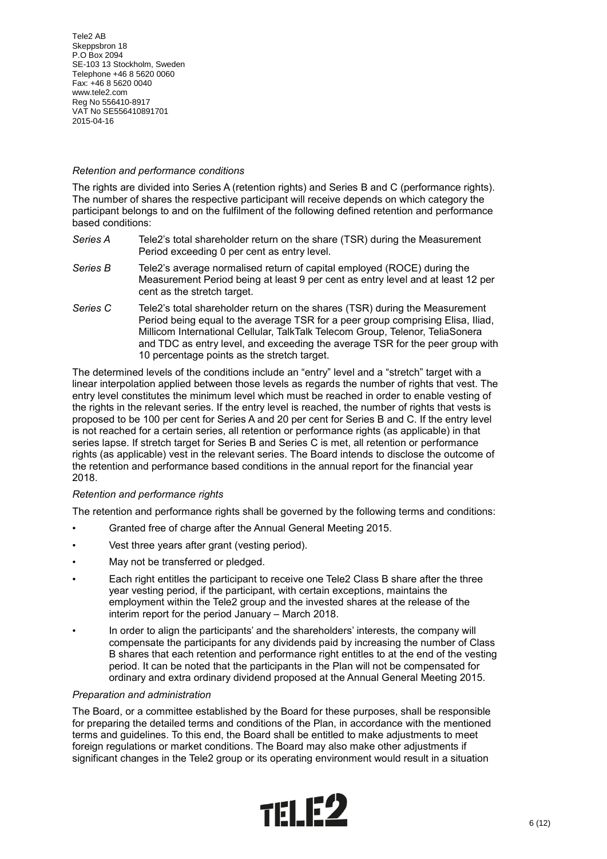## *Retention and performance conditions*

The rights are divided into Series A (retention rights) and Series B and C (performance rights). The number of shares the respective participant will receive depends on which category the participant belongs to and on the fulfilment of the following defined retention and performance based conditions:

- *Series A* Tele2's total shareholder return on the share (TSR) during the Measurement Period exceeding 0 per cent as entry level.
- *Series B* Tele2's average normalised return of capital employed (ROCE) during the Measurement Period being at least 9 per cent as entry level and at least 12 per cent as the stretch target.
- *Series C* Tele2's total shareholder return on the shares (TSR) during the Measurement Period being equal to the average TSR for a peer group comprising Elisa, Iliad, Millicom International Cellular, TalkTalk Telecom Group, Telenor, TeliaSonera and TDC as entry level, and exceeding the average TSR for the peer group with 10 percentage points as the stretch target.

The determined levels of the conditions include an "entry" level and a "stretch" target with a linear interpolation applied between those levels as regards the number of rights that vest. The entry level constitutes the minimum level which must be reached in order to enable vesting of the rights in the relevant series. If the entry level is reached, the number of rights that vests is proposed to be 100 per cent for Series A and 20 per cent for Series B and C. If the entry level is not reached for a certain series, all retention or performance rights (as applicable) in that series lapse. If stretch target for Series B and Series C is met, all retention or performance rights (as applicable) vest in the relevant series. The Board intends to disclose the outcome of the retention and performance based conditions in the annual report for the financial year 2018.

## *Retention and performance rights*

The retention and performance rights shall be governed by the following terms and conditions:

- Granted free of charge after the Annual General Meeting 2015.
- Vest three years after grant (vesting period).
- May not be transferred or pledged.
- Each right entitles the participant to receive one Tele2 Class B share after the three year vesting period, if the participant, with certain exceptions, maintains the employment within the Tele2 group and the invested shares at the release of the interim report for the period January – March 2018.
- In order to align the participants' and the shareholders' interests, the company will compensate the participants for any dividends paid by increasing the number of Class B shares that each retention and performance right entitles to at the end of the vesting period. It can be noted that the participants in the Plan will not be compensated for ordinary and extra ordinary dividend proposed at the Annual General Meeting 2015.

#### *Preparation and administration*

The Board, or a committee established by the Board for these purposes, shall be responsible for preparing the detailed terms and conditions of the Plan, in accordance with the mentioned terms and guidelines. To this end, the Board shall be entitled to make adjustments to meet foreign regulations or market conditions. The Board may also make other adjustments if significant changes in the Tele2 group or its operating environment would result in a situation

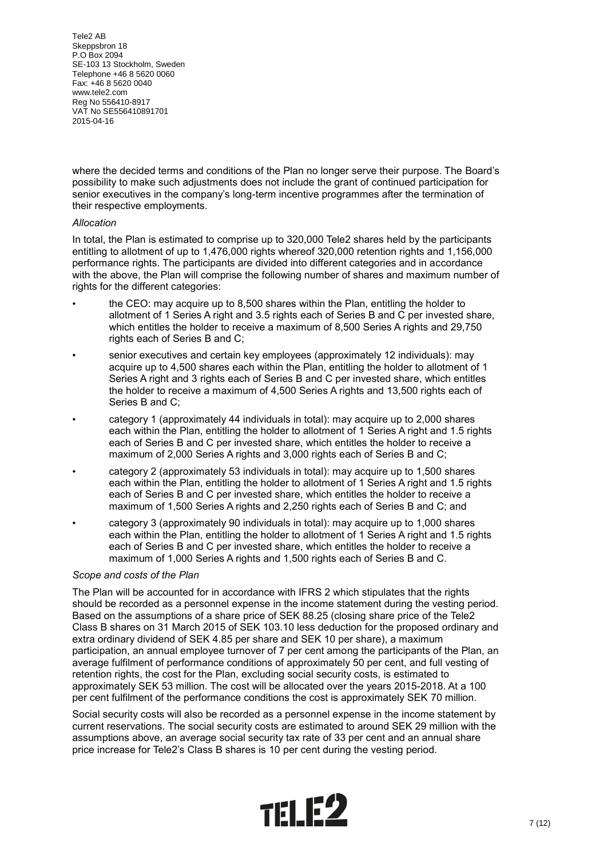where the decided terms and conditions of the Plan no longer serve their purpose. The Board's possibility to make such adjustments does not include the grant of continued participation for senior executives in the company's long-term incentive programmes after the termination of their respective employments.

## *Allocation*

In total, the Plan is estimated to comprise up to 320,000 Tele2 shares held by the participants entitling to allotment of up to 1,476,000 rights whereof 320,000 retention rights and 1,156,000 performance rights. The participants are divided into different categories and in accordance with the above, the Plan will comprise the following number of shares and maximum number of rights for the different categories:

- the CEO: may acquire up to 8,500 shares within the Plan, entitling the holder to allotment of 1 Series A right and 3.5 rights each of Series B and C per invested share, which entitles the holder to receive a maximum of 8,500 Series A rights and 29,750 rights each of Series B and C;
- senior executives and certain key employees (approximately 12 individuals): may acquire up to 4,500 shares each within the Plan, entitling the holder to allotment of 1 Series A right and 3 rights each of Series B and C per invested share, which entitles the holder to receive a maximum of 4,500 Series A rights and 13,500 rights each of Series B and C;
- category 1 (approximately 44 individuals in total): may acquire up to 2,000 shares each within the Plan, entitling the holder to allotment of 1 Series A right and 1.5 rights each of Series B and C per invested share, which entitles the holder to receive a maximum of 2,000 Series A rights and 3,000 rights each of Series B and C;
- category 2 (approximately 53 individuals in total): may acquire up to 1,500 shares each within the Plan, entitling the holder to allotment of 1 Series A right and 1.5 rights each of Series B and C per invested share, which entitles the holder to receive a maximum of 1,500 Series A rights and 2,250 rights each of Series B and C; and
- category 3 (approximately 90 individuals in total): may acquire up to 1,000 shares each within the Plan, entitling the holder to allotment of 1 Series A right and 1.5 rights each of Series B and C per invested share, which entitles the holder to receive a maximum of 1,000 Series A rights and 1,500 rights each of Series B and C.

#### *Scope and costs of the Plan*

The Plan will be accounted for in accordance with IFRS 2 which stipulates that the rights should be recorded as a personnel expense in the income statement during the vesting period. Based on the assumptions of a share price of SEK 88.25 (closing share price of the Tele2 Class B shares on 31 March 2015 of SEK 103.10 less deduction for the proposed ordinary and extra ordinary dividend of SEK 4.85 per share and SEK 10 per share), a maximum participation, an annual employee turnover of 7 per cent among the participants of the Plan, an average fulfilment of performance conditions of approximately 50 per cent, and full vesting of retention rights, the cost for the Plan, excluding social security costs, is estimated to approximately SEK 53 million. The cost will be allocated over the years 2015-2018. At a 100 per cent fulfilment of the performance conditions the cost is approximately SEK 70 million.

Social security costs will also be recorded as a personnel expense in the income statement by current reservations. The social security costs are estimated to around SEK 29 million with the assumptions above, an average social security tax rate of 33 per cent and an annual share price increase for Tele2's Class B shares is 10 per cent during the vesting period.

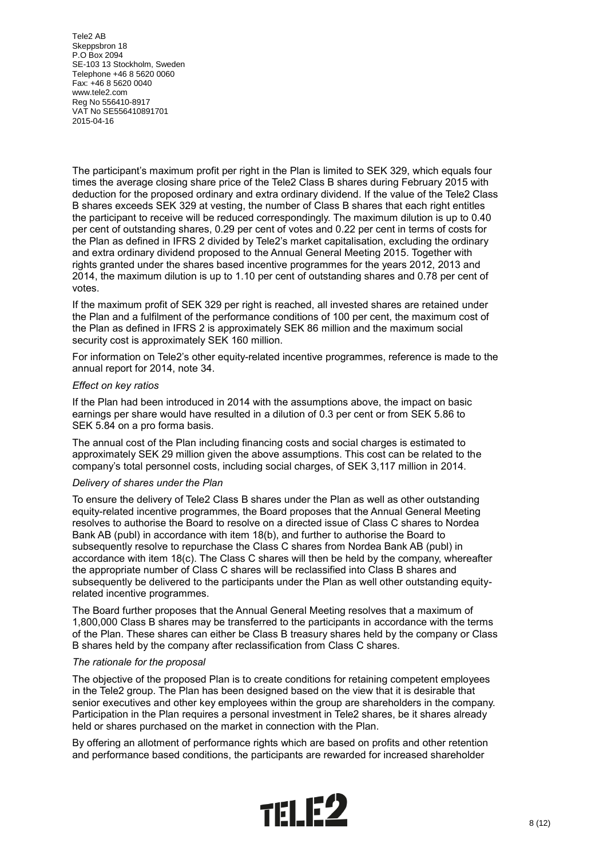The participant's maximum profit per right in the Plan is limited to SEK 329, which equals four times the average closing share price of the Tele2 Class B shares during February 2015 with deduction for the proposed ordinary and extra ordinary dividend. If the value of the Tele2 Class B shares exceeds SEK 329 at vesting, the number of Class B shares that each right entitles the participant to receive will be reduced correspondingly. The maximum dilution is up to 0.40 per cent of outstanding shares, 0.29 per cent of votes and 0.22 per cent in terms of costs for the Plan as defined in IFRS 2 divided by Tele2's market capitalisation, excluding the ordinary and extra ordinary dividend proposed to the Annual General Meeting 2015. Together with rights granted under the shares based incentive programmes for the years 2012, 2013 and 2014, the maximum dilution is up to 1.10 per cent of outstanding shares and 0.78 per cent of votes.

If the maximum profit of SEK 329 per right is reached, all invested shares are retained under the Plan and a fulfilment of the performance conditions of 100 per cent, the maximum cost of the Plan as defined in IFRS 2 is approximately SEK 86 million and the maximum social security cost is approximately SEK 160 million.

For information on Tele2's other equity-related incentive programmes, reference is made to the annual report for 2014, note 34.

#### *Effect on key ratios*

If the Plan had been introduced in 2014 with the assumptions above, the impact on basic earnings per share would have resulted in a dilution of 0.3 per cent or from SEK 5.86 to SEK 5.84 on a pro forma basis.

The annual cost of the Plan including financing costs and social charges is estimated to approximately SEK 29 million given the above assumptions. This cost can be related to the company's total personnel costs, including social charges, of SEK 3,117 million in 2014.

#### *Delivery of shares under the Plan*

To ensure the delivery of Tele2 Class B shares under the Plan as well as other outstanding equity-related incentive programmes, the Board proposes that the Annual General Meeting resolves to authorise the Board to resolve on a directed issue of Class C shares to Nordea Bank AB (publ) in accordance with item 18(b), and further to authorise the Board to subsequently resolve to repurchase the Class C shares from Nordea Bank AB (publ) in accordance with item 18(c). The Class C shares will then be held by the company, whereafter the appropriate number of Class C shares will be reclassified into Class B shares and subsequently be delivered to the participants under the Plan as well other outstanding equityrelated incentive programmes.

The Board further proposes that the Annual General Meeting resolves that a maximum of 1,800,000 Class B shares may be transferred to the participants in accordance with the terms of the Plan. These shares can either be Class B treasury shares held by the company or Class B shares held by the company after reclassification from Class C shares.

#### *The rationale for the proposal*

The objective of the proposed Plan is to create conditions for retaining competent employees in the Tele2 group. The Plan has been designed based on the view that it is desirable that senior executives and other key employees within the group are shareholders in the company. Participation in the Plan requires a personal investment in Tele2 shares, be it shares already held or shares purchased on the market in connection with the Plan.

By offering an allotment of performance rights which are based on profits and other retention and performance based conditions, the participants are rewarded for increased shareholder

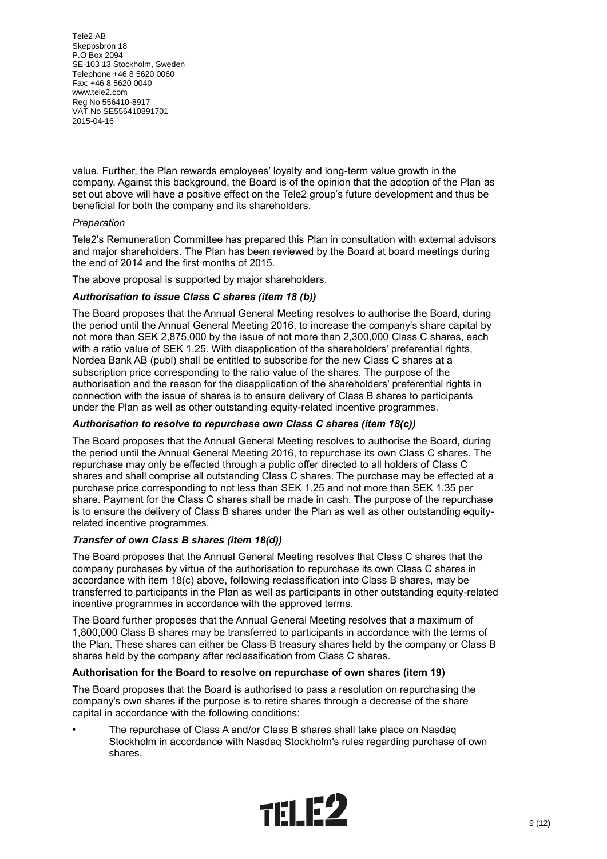value. Further, the Plan rewards employees' loyalty and long-term value growth in the company. Against this background, the Board is of the opinion that the adoption of the Plan as set out above will have a positive effect on the Tele2 group's future development and thus be beneficial for both the company and its shareholders.

## *Preparation*

Tele2's Remuneration Committee has prepared this Plan in consultation with external advisors and major shareholders. The Plan has been reviewed by the Board at board meetings during the end of 2014 and the first months of 2015.

The above proposal is supported by major shareholders.

## *Authorisation to issue Class C shares (item 18 (b))*

The Board proposes that the Annual General Meeting resolves to authorise the Board, during the period until the Annual General Meeting 2016, to increase the company's share capital by not more than SEK 2,875,000 by the issue of not more than 2,300,000 Class C shares, each with a ratio value of SEK 1.25. With disapplication of the shareholders' preferential rights, Nordea Bank AB (publ) shall be entitled to subscribe for the new Class C shares at a subscription price corresponding to the ratio value of the shares. The purpose of the authorisation and the reason for the disapplication of the shareholders' preferential rights in connection with the issue of shares is to ensure delivery of Class B shares to participants under the Plan as well as other outstanding equity-related incentive programmes.

## *Authorisation to resolve to repurchase own Class C shares (item 18(c))*

The Board proposes that the Annual General Meeting resolves to authorise the Board, during the period until the Annual General Meeting 2016, to repurchase its own Class C shares. The repurchase may only be effected through a public offer directed to all holders of Class C shares and shall comprise all outstanding Class C shares. The purchase may be effected at a purchase price corresponding to not less than SEK 1.25 and not more than SEK 1.35 per share. Payment for the Class C shares shall be made in cash. The purpose of the repurchase is to ensure the delivery of Class B shares under the Plan as well as other outstanding equityrelated incentive programmes.

#### *Transfer of own Class B shares (item 18(d))*

The Board proposes that the Annual General Meeting resolves that Class C shares that the company purchases by virtue of the authorisation to repurchase its own Class C shares in accordance with item 18(c) above, following reclassification into Class B shares, may be transferred to participants in the Plan as well as participants in other outstanding equity-related incentive programmes in accordance with the approved terms.

The Board further proposes that the Annual General Meeting resolves that a maximum of 1,800,000 Class B shares may be transferred to participants in accordance with the terms of the Plan. These shares can either be Class B treasury shares held by the company or Class B shares held by the company after reclassification from Class C shares.

#### **Authorisation for the Board to resolve on repurchase of own shares (item 19)**

The Board proposes that the Board is authorised to pass a resolution on repurchasing the company's own shares if the purpose is to retire shares through a decrease of the share capital in accordance with the following conditions:

• The repurchase of Class A and/or Class B shares shall take place on Nasdaq Stockholm in accordance with Nasdaq Stockholm's rules regarding purchase of own shares.

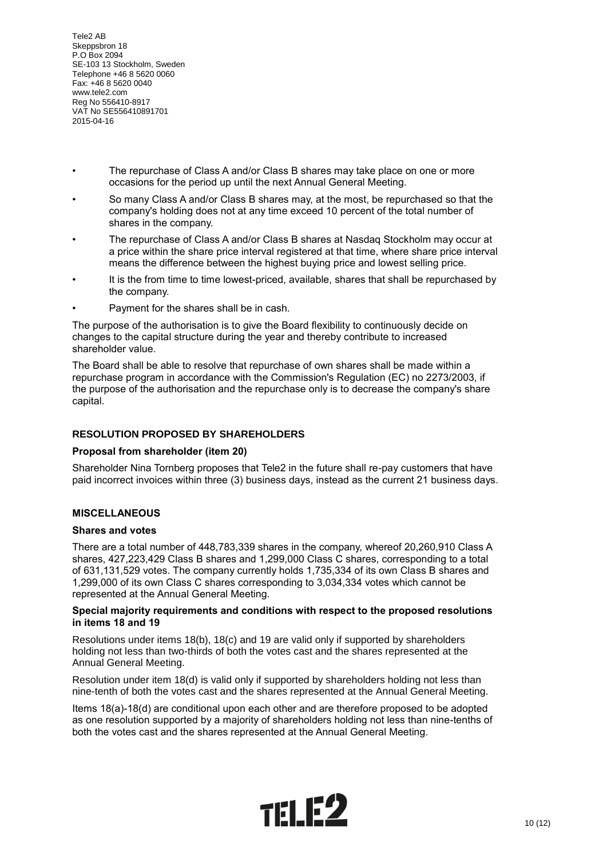- The repurchase of Class A and/or Class B shares may take place on one or more occasions for the period up until the next Annual General Meeting.
- So many Class A and/or Class B shares may, at the most, be repurchased so that the company's holding does not at any time exceed 10 percent of the total number of shares in the company.
- The repurchase of Class A and/or Class B shares at Nasdaq Stockholm may occur at a price within the share price interval registered at that time, where share price interval means the difference between the highest buying price and lowest selling price.
- It is the from time to time lowest-priced, available, shares that shall be repurchased by the company.
- Payment for the shares shall be in cash.

The purpose of the authorisation is to give the Board flexibility to continuously decide on changes to the capital structure during the year and thereby contribute to increased shareholder value.

The Board shall be able to resolve that repurchase of own shares shall be made within a repurchase program in accordance with the Commission's Regulation (EC) no 2273/2003, if the purpose of the authorisation and the repurchase only is to decrease the company's share capital.

## **RESOLUTION PROPOSED BY SHAREHOLDERS**

## **Proposal from shareholder (item 20)**

Shareholder Nina Tornberg proposes that Tele2 in the future shall re-pay customers that have paid incorrect invoices within three (3) business days, instead as the current 21 business days.

## **MISCELLANEOUS**

#### **Shares and votes**

There are a total number of 448,783,339 shares in the company, whereof 20,260,910 Class A shares, 427,223,429 Class B shares and 1,299,000 Class C shares, corresponding to a total of 631,131,529 votes. The company currently holds 1,735,334 of its own Class B shares and 1,299,000 of its own Class C shares corresponding to 3,034,334 votes which cannot be represented at the Annual General Meeting.

#### **Special majority requirements and conditions with respect to the proposed resolutions in items 18 and 19**

Resolutions under items 18(b), 18(c) and 19 are valid only if supported by shareholders holding not less than two-thirds of both the votes cast and the shares represented at the Annual General Meeting.

Resolution under item 18(d) is valid only if supported by shareholders holding not less than nine-tenth of both the votes cast and the shares represented at the Annual General Meeting.

Items 18(a)-18(d) are conditional upon each other and are therefore proposed to be adopted as one resolution supported by a majority of shareholders holding not less than nine-tenths of both the votes cast and the shares represented at the Annual General Meeting.

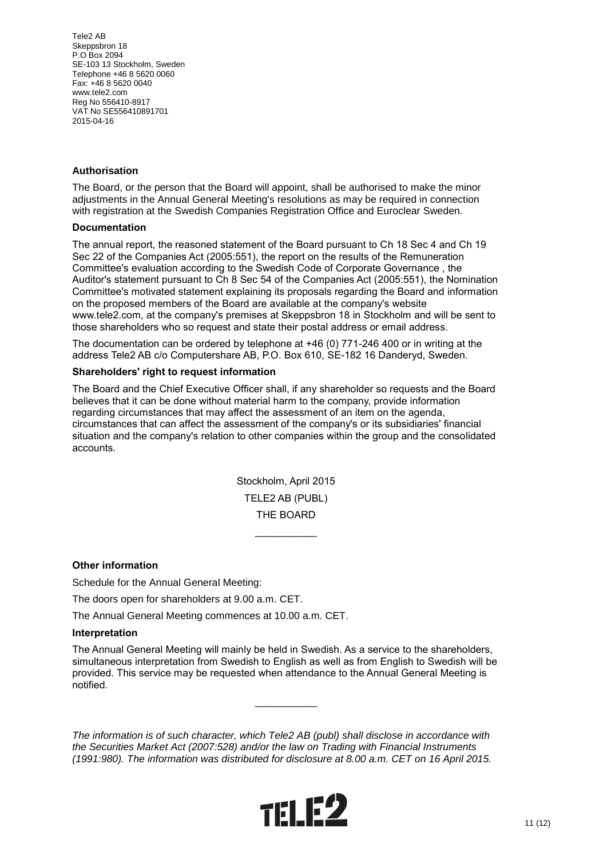## **Authorisation**

The Board, or the person that the Board will appoint, shall be authorised to make the minor adjustments in the Annual General Meeting's resolutions as may be required in connection with registration at the Swedish Companies Registration Office and Euroclear Sweden.

#### **Documentation**

The annual report, the reasoned statement of the Board pursuant to Ch 18 Sec 4 and Ch 19 Sec 22 of the Companies Act (2005:551), the report on the results of the Remuneration Committee's evaluation according to the Swedish Code of Corporate Governance , the Auditor's statement pursuant to Ch 8 Sec 54 of the Companies Act (2005:551), the Nomination Committee's motivated statement explaining its proposals regarding the Board and information on the proposed members of the Board are available at the company's website www.tele2.com, at the company's premises at Skeppsbron 18 in Stockholm and will be sent to those shareholders who so request and state their postal address or email address.

The documentation can be ordered by telephone at +46 (0) 771-246 400 or in writing at the address Tele2 AB c/o Computershare AB, P.O. Box 610, SE-182 16 Danderyd, Sweden.

#### **Shareholders' right to request information**

The Board and the Chief Executive Officer shall, if any shareholder so requests and the Board believes that it can be done without material harm to the company, provide information regarding circumstances that may affect the assessment of an item on the agenda, circumstances that can affect the assessment of the company's or its subsidiaries' financial situation and the company's relation to other companies within the group and the consolidated accounts.

> Stockholm, April 2015 TELE2 AB (PUBL) THE BOARD

> > $\mathcal{L}$  and  $\mathcal{L}$  and  $\mathcal{L}$

#### **Other information**

Schedule for the Annual General Meeting:

The doors open for shareholders at 9.00 a.m. CET.

The Annual General Meeting commences at 10.00 a.m. CET.

#### **Interpretation**

The Annual General Meeting will mainly be held in Swedish. As a service to the shareholders, simultaneous interpretation from Swedish to English as well as from English to Swedish will be provided. This service may be requested when attendance to the Annual General Meeting is notified.

 $\mathcal{L}$  and  $\mathcal{L}$  and  $\mathcal{L}$ 

*The information is of such character, which Tele2 AB (publ) shall disclose in accordance with the Securities Market Act (2007:528) and/or the law on Trading with Financial Instruments (1991:980). The information was distributed for disclosure at 8.00 a.m. CET on 16 April 2015.*